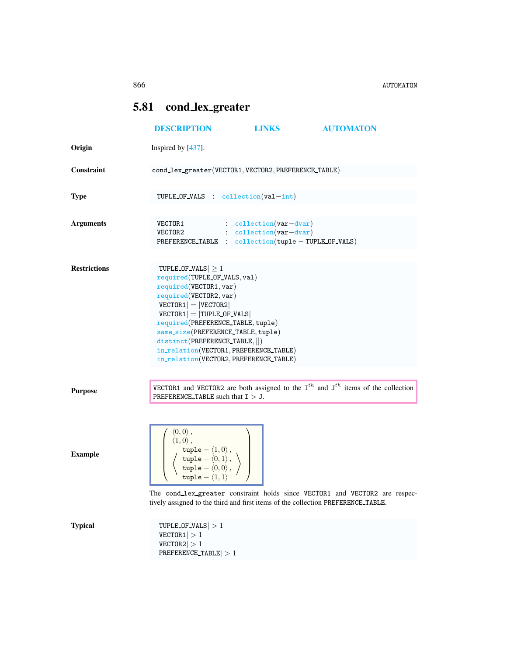866 AUTOMATON

## <span id="page-0-0"></span>5.81 cond lex greater

|                     | <b>DESCRIPTION</b>                                                                                                                                                                                                                                                                                                                                                         | <b>LINKS</b>                                         | <b>AUTOMATON</b>                                                                           |
|---------------------|----------------------------------------------------------------------------------------------------------------------------------------------------------------------------------------------------------------------------------------------------------------------------------------------------------------------------------------------------------------------------|------------------------------------------------------|--------------------------------------------------------------------------------------------|
| Origin              | Inspired by [437].                                                                                                                                                                                                                                                                                                                                                         |                                                      |                                                                                            |
| Constraint          | cond_lex_greater(VECTOR1, VECTOR2, PREFERENCE_TABLE)                                                                                                                                                                                                                                                                                                                       |                                                      |                                                                                            |
| <b>Type</b>         | TUPLE OF VALS : $\text{collection}(val-int)$                                                                                                                                                                                                                                                                                                                               |                                                      |                                                                                            |
| <b>Arguments</b>    | $VECTOR1$ : $\text{collection}(var-dvar)$<br>$VECTOR2$ : $\text{collection}(var-dvar)$                                                                                                                                                                                                                                                                                     | PREFERENCE_TABLE : collection(tuple - TUPLE_OF_VALS) |                                                                                            |
| <b>Restrictions</b> | $ TURLC OF_VALS  \geq 1$<br>required(TUPLE OF VALS, val)<br>required(VECTOR1, var)<br>required(VECTOR2, var)<br>$ VECTOR1  =  VECTOR2 $<br>$ VECTOR1  =  T UPLE_OF_VALS $<br>required(PREFERENCE_TABLE, tuple)<br>same_size(PREFERENCE_TABLE, tuple)<br>distinct(PREFERENCE_TABLE, [])<br>in_relation(VECTOR1, PREFERENCE_TABLE)<br>in_relation(VECTOR2, PREFERENCE_TABLE) |                                                      |                                                                                            |
| <b>Purpose</b>      | PREFERENCE TABLE such that $I > J$ .                                                                                                                                                                                                                                                                                                                                       |                                                      | VECTOR1 and VECTOR2 are both assigned to the $I^{th}$ and $J^{th}$ items of the collection |
| <b>Example</b>      | $\left\langle 0,0\right\rangle ,$<br>$\langle 1,0 \rangle$ ,<br>$\left\langle \begin{array}{c} \texttt{tuple} - \langle 1, 0 \rangle \, , \\ \texttt{tuple} - \langle 0, 1 \rangle \, , \\ \texttt{tuple} - \langle 0, 0 \rangle \, , \\ \texttt{tuple} - \langle 1, 1 \rangle \end{array} \right\rangle$                                                                  |                                                      |                                                                                            |
| <b>Typical</b>      | tively assigned to the third and first items of the collection PREFERENCE_TABLE.<br>$ TURLC OF_VALS  > 1$<br> VECTOR1  > 1<br> VECTOR2  > 1<br>$ PREFERENCE_TABLE  > 1$                                                                                                                                                                                                    |                                                      | The cond_lex_greater constraint holds since VECTOR1 and VECTOR2 are respec                 |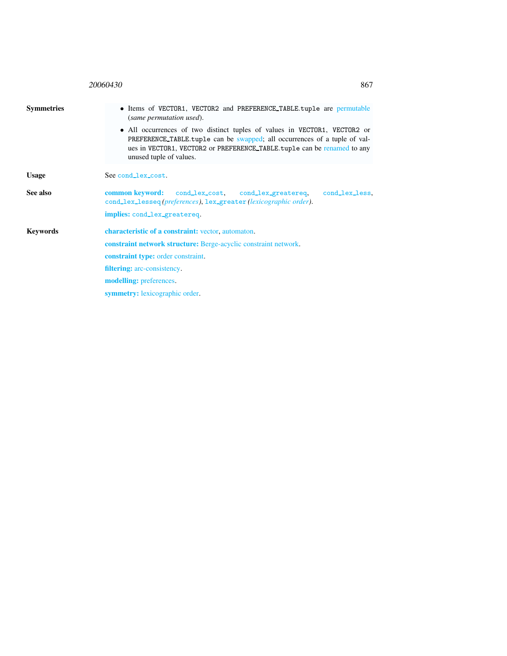<span id="page-1-0"></span>

|                   | 20060430<br>867                                                                                                                                                                                                                                                                                                                                                   |  |  |
|-------------------|-------------------------------------------------------------------------------------------------------------------------------------------------------------------------------------------------------------------------------------------------------------------------------------------------------------------------------------------------------------------|--|--|
| <b>Symmetries</b> | • Items of VECTOR1, VECTOR2 and PREFERENCE_TABLE.tuple are permutable<br>(same permutation used).<br>• All occurrences of two distinct tuples of values in VECTOR1, VECTOR2 or<br>PREFERENCE TABLE tuple can be swapped; all occurrences of a tuple of val-<br>ues in VECTOR1, VECTOR2 or PREFERENCE_TABLE.tuple can be renamed to any<br>unused tuple of values. |  |  |
| <b>Usage</b>      | See cond_lex_cost.                                                                                                                                                                                                                                                                                                                                                |  |  |
| See also          | common keyword:<br>cond_lex_cost, cond_lex_greatereq,<br>cond_lex_less.<br>cond_lex_lesseq(preferences), lex_greater(lexicographic order).                                                                                                                                                                                                                        |  |  |
| <b>Keywords</b>   | implies: cond_lex_greatereq.<br>characteristic of a constraint: vector, automaton.<br><b>constraint network structure:</b> Berge-acyclic constraint network.<br><b>constraint type:</b> order constraint.<br><b>filtering:</b> arc-consistency.<br>modelling: preferences.<br>symmetry: lexicographic order.                                                      |  |  |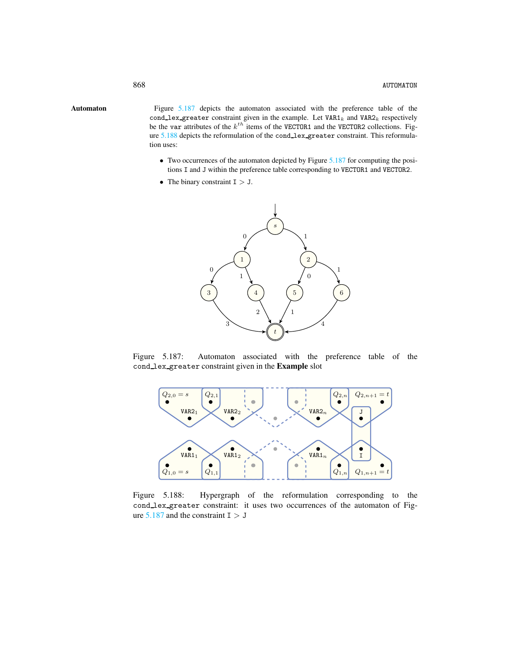Automaton Figure [5.187](#page-2-1) depicts the automaton associated with the preference table of the cond\_lex\_greater constraint given in the example. Let  $VAR1_k$  and  $VAR2_k$  respectively be the var attributes of the  $k^{th}$  items of the VECTOR1 and the VECTOR2 collections. Figure [5.188](#page-2-2) depicts the reformulation of the cond lex greater constraint. This reformulation uses:

- <span id="page-2-0"></span>• Two occurrences of the automaton depicted by Figure [5.187](#page-2-1) for computing the positions I and J within the preference table corresponding to VECTOR1 and VECTOR2.
- The binary constraint  $I > J$ .



Figure 5.187: Automaton associated with the preference table of the cond lex greater constraint given in the Example slot

<span id="page-2-1"></span>

<span id="page-2-2"></span>Figure 5.188: Hypergraph of the reformulation corresponding to the cond lex greater constraint: it uses two occurrences of the automaton of Figure  $5.187$  and the constraint I  $> J$